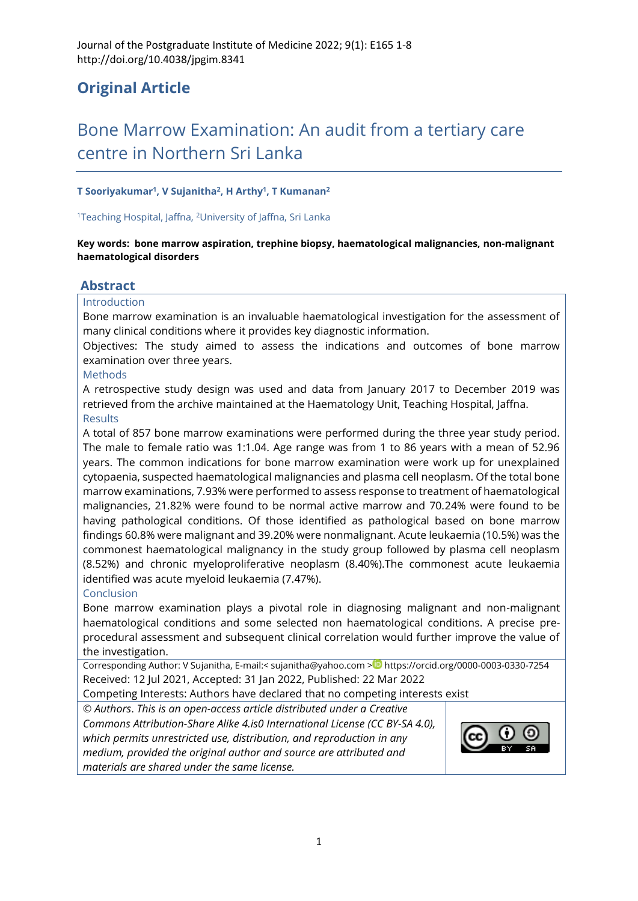## **Original Article**

# Bone Marrow Examination: An audit from a tertiary care centre in Northern Sri Lanka

#### **T Sooriyakumar<sup>1</sup> , V Sujanitha<sup>2</sup> , H Arthy<sup>1</sup> , T Kumanan<sup>2</sup>**

#### <sup>1</sup>Teaching Hospital, Jaffna, <sup>2</sup>University of Jaffna, Sri Lanka

#### **Key words: bone marrow aspiration, trephine biopsy, haematological malignancies, non-malignant haematological disorders**

#### **Abstract**

#### Introduction

Bone marrow examination is an invaluable haematological investigation for the assessment of many clinical conditions where it provides key diagnostic information.

Objectives: The study aimed to assess the indications and outcomes of bone marrow examination over three years.

#### Methods

A retrospective study design was used and data from January 2017 to December 2019 was retrieved from the archive maintained at the Haematology Unit, Teaching Hospital, Jaffna.

#### **Results**

A total of 857 bone marrow examinations were performed during the three year study period. The male to female ratio was 1:1.04. Age range was from 1 to 86 years with a mean of 52.96 years. The common indications for bone marrow examination were work up for unexplained cytopaenia, suspected haematological malignancies and plasma cell neoplasm. Of the total bone marrow examinations, 7.93% were performed to assess response to treatment of haematological malignancies, 21.82% were found to be normal active marrow and 70.24% were found to be having pathological conditions. Of those identified as pathological based on bone marrow findings 60.8% were malignant and 39.20% were nonmalignant. Acute leukaemia (10.5%) was the commonest haematological malignancy in the study group followed by plasma cell neoplasm (8.52%) and chronic myeloproliferative neoplasm (8.40%).The commonest acute leukaemia identified was acute myeloid leukaemia (7.47%).

### Conclusion

Bone marrow examination plays a pivotal role in diagnosing malignant and non-malignant haematological conditions and some selected non haematological conditions. A precise preprocedural assessment and subsequent clinical correlation would further improve the value of the investigation.

Corresponding Author: V Sujanitha, E-mail:< [sujanitha@yahoo.com](mailto:sujanitha@yahoo.com) > <https://orcid.org/0000-0003-0330-7254> Received: 12 Jul 2021, Accepted: 31 Jan 2022, Published: 22 Mar 2022

Competing Interests: Authors have declared that no competing interests exist

© *Authors*. *This is an open-access article distributed under a [Creative](http://creativecommons.org/licenses/by-sa/4.0/)  [Commons Attribution-Share Alike 4.is0 International License](http://creativecommons.org/licenses/by-sa/4.0/) (CC BY-SA 4.0), which permits unrestricted use, distribution, and reproduction in any medium, provided the original author and source are attributed and materials are shared under the same license.* 

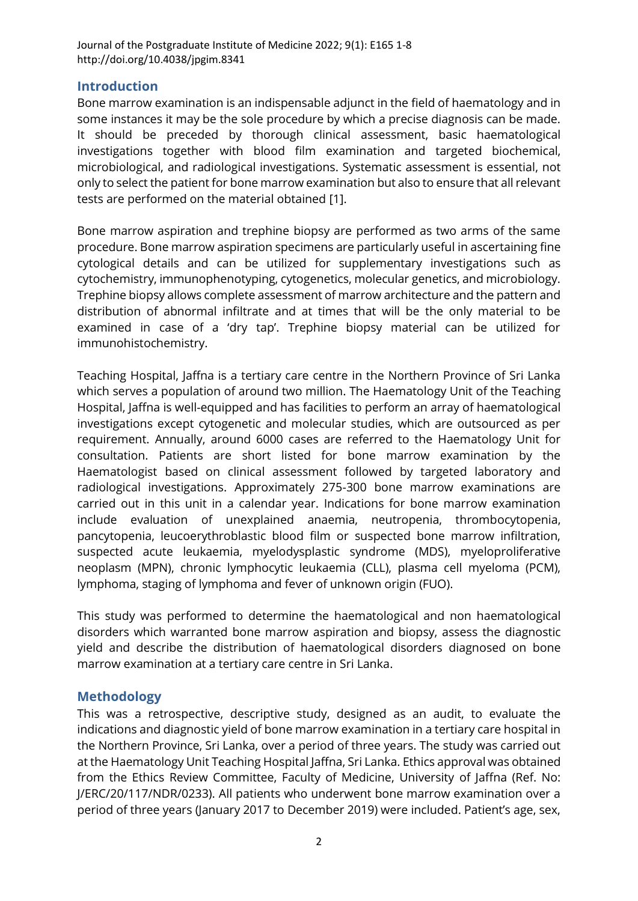## **Introduction**

Bone marrow examination is an indispensable adjunct in the field of haematology and in some instances it may be the sole procedure by which a precise diagnosis can be made. It should be preceded by thorough clinical assessment, basic haematological investigations together with blood film examination and targeted biochemical, microbiological, and radiological investigations. Systematic assessment is essential, not only to select the patient for bone marrow examination but also to ensure that all relevant tests are performed on the material obtained [\[1\]](#page-7-0).

Bone marrow aspiration and trephine biopsy are performed as two arms of the same procedure. Bone marrow aspiration specimens are particularly useful in ascertaining fine cytological details and can be utilized for supplementary investigations such as cytochemistry, immunophenotyping, cytogenetics, molecular genetics, and microbiology. Trephine biopsy allows complete assessment of marrow architecture and the pattern and distribution of abnormal infiltrate and at times that will be the only material to be examined in case of a 'dry tap'. Trephine biopsy material can be utilized for immunohistochemistry.

Teaching Hospital, Jaffna is a tertiary care centre in the Northern Province of Sri Lanka which serves a population of around two million. The Haematology Unit of the Teaching Hospital, Jaffna is well-equipped and has facilities to perform an array of haematological investigations except cytogenetic and molecular studies, which are outsourced as per requirement. Annually, around 6000 cases are referred to the Haematology Unit for consultation. Patients are short listed for bone marrow examination by the Haematologist based on clinical assessment followed by targeted laboratory and radiological investigations. Approximately 275-300 bone marrow examinations are carried out in this unit in a calendar year. Indications for bone marrow examination include evaluation of unexplained anaemia, neutropenia, thrombocytopenia, pancytopenia, leucoerythroblastic blood film or suspected bone marrow infiltration, suspected acute leukaemia, myelodysplastic syndrome (MDS), myeloproliferative neoplasm (MPN), chronic lymphocytic leukaemia (CLL), plasma cell myeloma (PCM), lymphoma, staging of lymphoma and fever of unknown origin (FUO).

This study was performed to determine the haematological and non haematological disorders which warranted bone marrow aspiration and biopsy, assess the diagnostic yield and describe the distribution of haematological disorders diagnosed on bone marrow examination at a tertiary care centre in Sri Lanka.

## **Methodology**

This was a retrospective, descriptive study, designed as an audit, to evaluate the indications and diagnostic yield of bone marrow examination in a tertiary care hospital in the Northern Province, Sri Lanka, over a period of three years. The study was carried out at the Haematology Unit Teaching Hospital Jaffna, Sri Lanka. Ethics approval was obtained from the Ethics Review Committee, Faculty of Medicine, University of Jaffna (Ref. No: J/ERC/20/117/NDR/0233). All patients who underwent bone marrow examination over a period of three years (January 2017 to December 2019) were included. Patient's age, sex,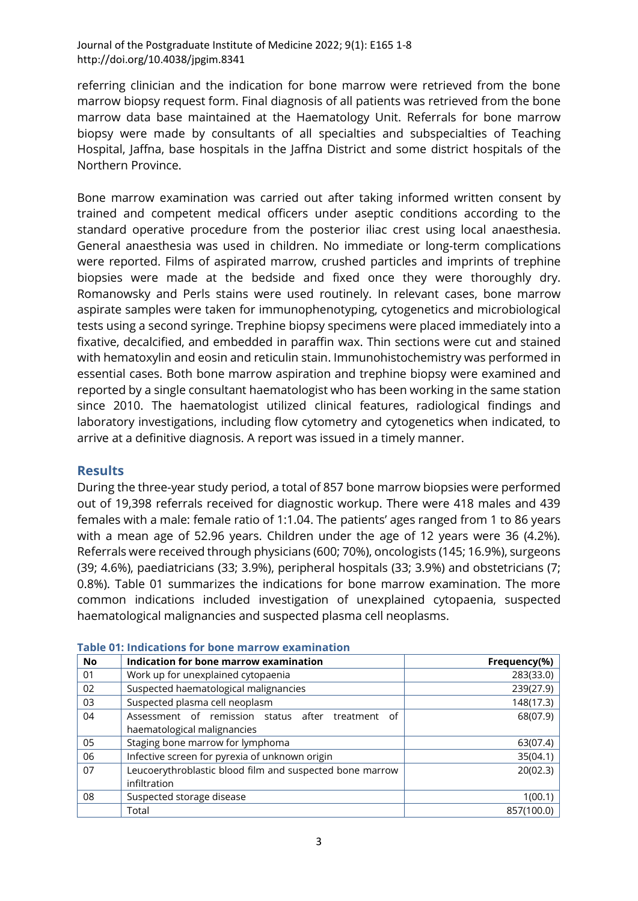referring clinician and the indication for bone marrow were retrieved from the bone marrow biopsy request form. Final diagnosis of all patients was retrieved from the bone marrow data base maintained at the Haematology Unit. Referrals for bone marrow biopsy were made by consultants of all specialties and subspecialties of Teaching Hospital, Jaffna, base hospitals in the Jaffna District and some district hospitals of the Northern Province.

Bone marrow examination was carried out after taking informed written consent by trained and competent medical officers under aseptic conditions according to the standard operative procedure from the posterior iliac crest using local anaesthesia. General anaesthesia was used in children. No immediate or long-term complications were reported. Films of aspirated marrow, crushed particles and imprints of trephine biopsies were made at the bedside and fixed once they were thoroughly dry. Romanowsky and Perls stains were used routinely. In relevant cases, bone marrow aspirate samples were taken for immunophenotyping, cytogenetics and microbiological tests using a second syringe. Trephine biopsy specimens were placed immediately into a fixative, decalcified, and embedded in paraffin wax. Thin sections were cut and stained with hematoxylin and eosin and reticulin stain. Immunohistochemistry was performed in essential cases. Both bone marrow aspiration and trephine biopsy were examined and reported by a single consultant haematologist who has been working in the same station since 2010. The haematologist utilized clinical features, radiological findings and laboratory investigations, including flow cytometry and cytogenetics when indicated, to arrive at a definitive diagnosis. A report was issued in a timely manner.

## **Results**

During the three-year study period, a total of 857 bone marrow biopsies were performed out of 19,398 referrals received for diagnostic workup. There were 418 males and 439 females with a male: female ratio of 1:1.04. The patients' ages ranged from 1 to 86 years with a mean age of 52.96 years. Children under the age of 12 years were 36 (4.2%). Referrals were received through physicians (600; 70%), oncologists (145; 16.9%), surgeons (39; 4.6%), paediatricians (33; 3.9%), peripheral hospitals (33; 3.9%) and obstetricians (7; 0.8%). Table 01 summarizes the indications for bone marrow examination. The more common indications included investigation of unexplained cytopaenia, suspected haematological malignancies and suspected plasma cell neoplasms.

| <b>No</b> | Indication for bone marrow examination                   | Frequency(%) |
|-----------|----------------------------------------------------------|--------------|
| 01        | Work up for unexplained cytopaenia                       | 283(33.0)    |
| 02        | Suspected haematological malignancies                    | 239(27.9)    |
| 03        | Suspected plasma cell neoplasm                           | 148(17.3)    |
| 04        | Assessment of remission status after<br>treatment<br>οf  | 68(07.9)     |
|           | haematological malignancies                              |              |
| 05        | Staging bone marrow for lymphoma                         | 63(07.4)     |
| 06        | Infective screen for pyrexia of unknown origin           | 35(04.1)     |
| 07        | Leucoerythroblastic blood film and suspected bone marrow | 20(02.3)     |
|           | infiltration                                             |              |
| 08        | Suspected storage disease                                | 1(00.1)      |
|           | Total                                                    | 857(100.0)   |

#### **Table 01: Indications for bone marrow examination**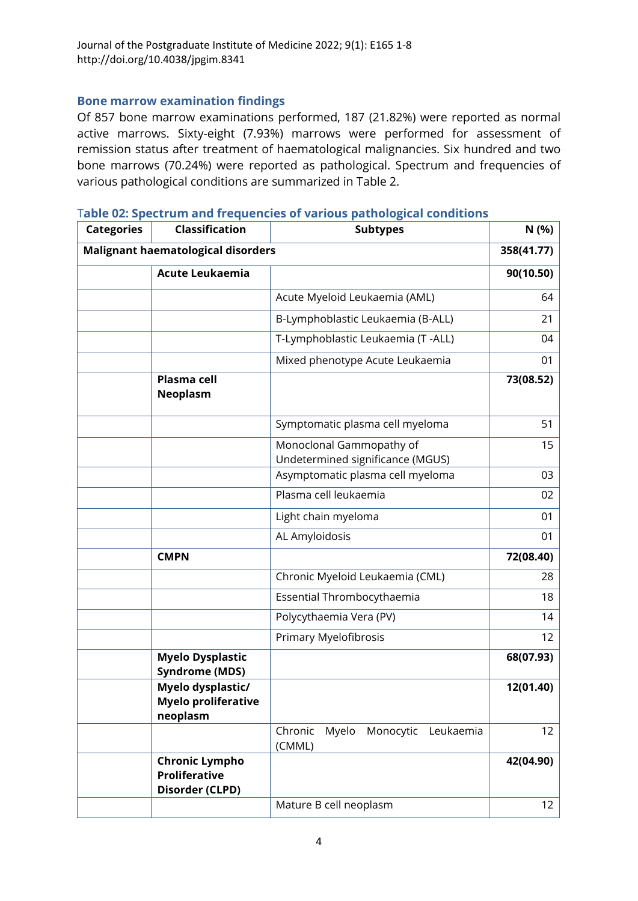## **Bone marrow examination findings**

Of 857 bone marrow examinations performed, 187 (21.82%) were reported as normal active marrows. Sixty-eight (7.93%) marrows were performed for assessment of remission status after treatment of haematological malignancies. Six hundred and two bone marrows (70.24%) were reported as pathological. Spectrum and frequencies of various pathological conditions are summarized in Table 2.

| <b>Categories</b>                         | <b>Classification</b>                                            | <b>Subtypes</b>                                              | N (%)             |
|-------------------------------------------|------------------------------------------------------------------|--------------------------------------------------------------|-------------------|
| <b>Malignant haematological disorders</b> |                                                                  |                                                              | 358(41.77)        |
|                                           | <b>Acute Leukaemia</b>                                           |                                                              | 90(10.50)         |
|                                           |                                                                  | Acute Myeloid Leukaemia (AML)                                | 64                |
|                                           |                                                                  | B-Lymphoblastic Leukaemia (B-ALL)                            | 21                |
|                                           |                                                                  | T-Lymphoblastic Leukaemia (T-ALL)                            | 04                |
|                                           |                                                                  | Mixed phenotype Acute Leukaemia                              | 01                |
|                                           | <b>Plasma cell</b><br><b>Neoplasm</b>                            |                                                              | 73(08.52)         |
|                                           |                                                                  | Symptomatic plasma cell myeloma                              | 51                |
|                                           |                                                                  | Monoclonal Gammopathy of<br>Undetermined significance (MGUS) | 15                |
|                                           |                                                                  | Asymptomatic plasma cell myeloma                             | 03                |
|                                           |                                                                  | Plasma cell leukaemia                                        | 02                |
|                                           |                                                                  | Light chain myeloma                                          | 01                |
|                                           |                                                                  | AL Amyloidosis                                               | 01                |
|                                           | <b>CMPN</b>                                                      |                                                              | 72(08.40)         |
|                                           |                                                                  | Chronic Myeloid Leukaemia (CML)                              | 28                |
|                                           |                                                                  | Essential Thrombocythaemia                                   | 18                |
|                                           |                                                                  | Polycythaemia Vera (PV)                                      | 14                |
|                                           |                                                                  | Primary Myelofibrosis                                        | 12                |
|                                           | <b>Myelo Dysplastic</b><br><b>Syndrome (MDS)</b>                 |                                                              | 68(07.93)         |
|                                           | Myelo dysplastic/<br>Myelo proliferative<br>neoplasm             |                                                              | 12(01.40)         |
|                                           |                                                                  | Myelo<br>Chronic<br>Monocytic<br>Leukaemia<br>(CMML)         | 12                |
|                                           | <b>Chronic Lympho</b><br><b>Proliferative</b><br>Disorder (CLPD) |                                                              | 42(04.90)         |
|                                           |                                                                  | Mature B cell neoplasm                                       | $12 \overline{ }$ |

T**able 02: Spectrum and frequencies of various pathological conditions**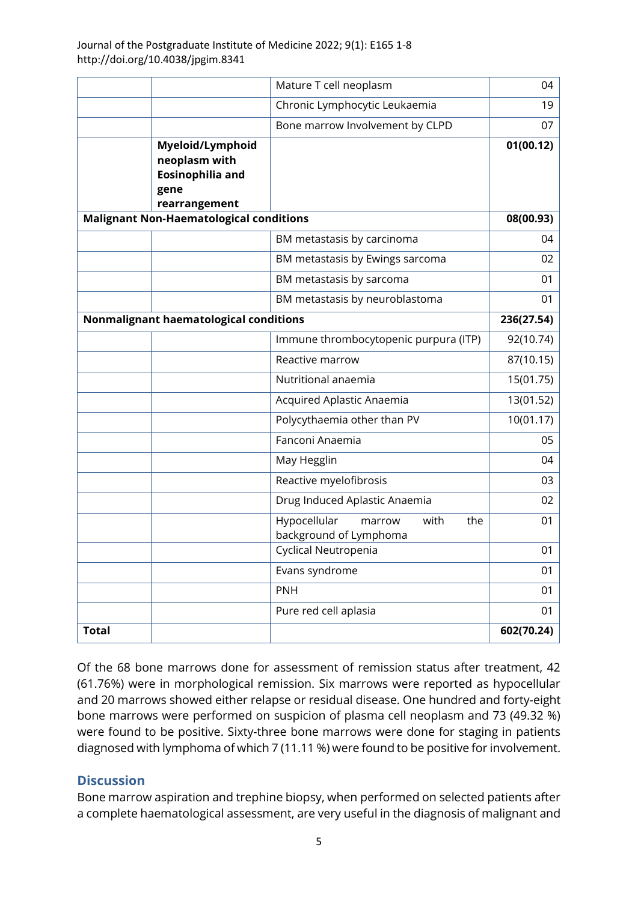|                                                                                       | Mature T cell neoplasm                                          | 04         |
|---------------------------------------------------------------------------------------|-----------------------------------------------------------------|------------|
|                                                                                       | Chronic Lymphocytic Leukaemia                                   | 19         |
|                                                                                       | Bone marrow Involvement by CLPD                                 | 07         |
| Myeloid/Lymphoid<br>neoplasm with<br><b>Eosinophilia and</b><br>gene<br>rearrangement |                                                                 | 01(00.12)  |
| <b>Malignant Non-Haematological conditions</b>                                        |                                                                 | 08(00.93)  |
|                                                                                       | BM metastasis by carcinoma                                      | 04         |
|                                                                                       | BM metastasis by Ewings sarcoma                                 | 02         |
|                                                                                       | BM metastasis by sarcoma                                        | 01         |
|                                                                                       | BM metastasis by neuroblastoma                                  | 01         |
|                                                                                       | Nonmalignant haematological conditions                          |            |
|                                                                                       | Immune thrombocytopenic purpura (ITP)                           | 92(10.74)  |
|                                                                                       | Reactive marrow                                                 | 87(10.15)  |
|                                                                                       | Nutritional anaemia                                             | 15(01.75)  |
|                                                                                       | Acquired Aplastic Anaemia                                       | 13(01.52)  |
|                                                                                       | Polycythaemia other than PV                                     | 10(01.17)  |
|                                                                                       | Fanconi Anaemia                                                 | 05         |
|                                                                                       | May Hegglin                                                     | 04         |
|                                                                                       | Reactive myelofibrosis                                          | 03         |
|                                                                                       | Drug Induced Aplastic Anaemia                                   | 02         |
|                                                                                       | Hypocellular<br>with<br>the<br>marrow<br>background of Lymphoma | 01         |
|                                                                                       | Cyclical Neutropenia                                            | 01         |
|                                                                                       | Evans syndrome                                                  | 01         |
|                                                                                       | <b>PNH</b>                                                      | 01         |
|                                                                                       | Pure red cell aplasia                                           | 01         |
| <b>Total</b>                                                                          |                                                                 | 602(70.24) |

Of the 68 bone marrows done for assessment of remission status after treatment, 42 (61.76%) were in morphological remission. Six marrows were reported as hypocellular and 20 marrows showed either relapse or residual disease. One hundred and forty-eight bone marrows were performed on suspicion of plasma cell neoplasm and 73 (49.32 %) were found to be positive. Sixty-three bone marrows were done for staging in patients diagnosed with lymphoma of which 7 (11.11 %) were found to be positive for involvement.

## **Discussion**

Bone marrow aspiration and trephine biopsy, when performed on selected patients after a complete haematological assessment, are very useful in the diagnosis of malignant and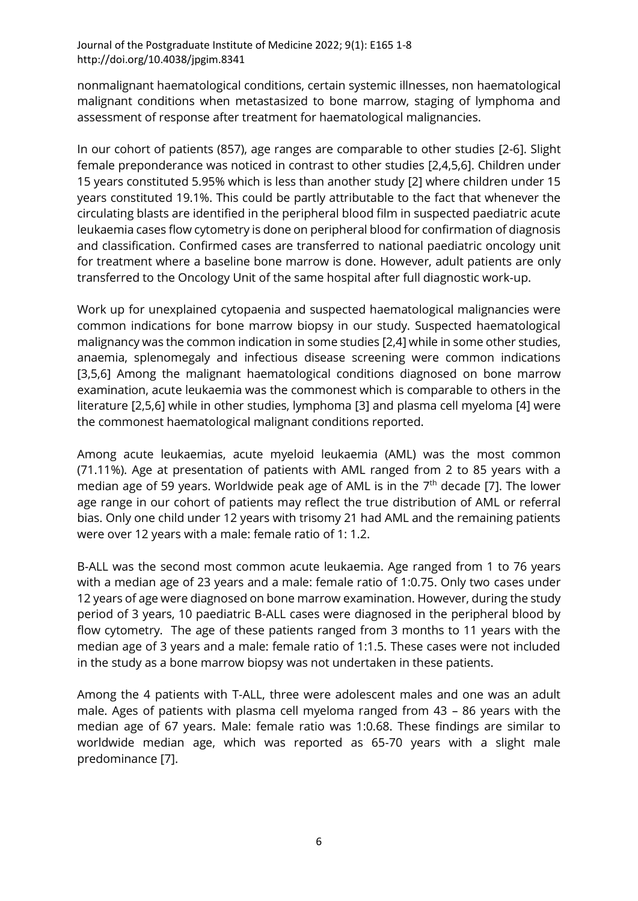nonmalignant haematological conditions, certain systemic illnesses, non haematological malignant conditions when metastasized to bone marrow, staging of lymphoma and assessment of response after treatment for haematological malignancies.

In our cohort of patients (857), age ranges are comparable to other studies [\[2](#page-7-1)[-6\]](#page-7-2). Slight female preponderance was noticed in contrast to other studies [\[2,](#page-7-1)[4,](#page-7-3)[5,](#page-7-4)[6\]](#page-7-2). Children under 15 years constituted 5.95% which is less than another study [\[2\]](#page-7-1) where children under 15 years constituted 19.1%. This could be partly attributable to the fact that whenever the circulating blasts are identified in the peripheral blood film in suspected paediatric acute leukaemia cases flow cytometry is done on peripheral blood for confirmation of diagnosis and classification. Confirmed cases are transferred to national paediatric oncology unit for treatment where a baseline bone marrow is done. However, adult patients are only transferred to the Oncology Unit of the same hospital after full diagnostic work-up.

Work up for unexplained cytopaenia and suspected haematological malignancies were common indications for bone marrow biopsy in our study. Suspected haematological malignancy was the common indication in some studies [\[2](#page-7-1)[,4\]](#page-7-3) while in some other studies, anaemia, splenomegaly and infectious disease screening were common indications [\[3](#page-7-5)[,5](#page-7-4)[,6\]](#page-7-2) Among the malignant haematological conditions diagnosed on bone marrow examination, acute leukaemia was the commonest which is comparable to others in the literature [\[2,](#page-7-1)[5,](#page-7-4)[6\]](#page-7-2) while in other studies, lymphoma [\[3\]](#page-7-5) and plasma cell myeloma [\[4\]](#page-7-3) were the commonest haematological malignant conditions reported.

Among acute leukaemias, acute myeloid leukaemia (AML) was the most common (71.11%). Age at presentation of patients with AML ranged from 2 to 85 years with a median age of 59 years. Worldwide peak age of AML is in the  $7<sup>th</sup>$  decade [\[7\]](#page-7-6). The lower age range in our cohort of patients may reflect the true distribution of AML or referral bias. Only one child under 12 years with trisomy 21 had AML and the remaining patients were over 12 years with a male: female ratio of 1: 1.2.

B-ALL was the second most common acute leukaemia. Age ranged from 1 to 76 years with a median age of 23 years and a male: female ratio of 1:0.75. Only two cases under 12 years of age were diagnosed on bone marrow examination. However, during the study period of 3 years, 10 paediatric B-ALL cases were diagnosed in the peripheral blood by flow cytometry. The age of these patients ranged from 3 months to 11 years with the median age of 3 years and a male: female ratio of 1:1.5. These cases were not included in the study as a bone marrow biopsy was not undertaken in these patients.

Among the 4 patients with T-ALL, three were adolescent males and one was an adult male. Ages of patients with plasma cell myeloma ranged from 43 – 86 years with the median age of 67 years. Male: female ratio was 1:0.68. These findings are similar to worldwide median age, which was reported as 65-70 years with a slight male predominance [\[7\]](#page-7-6).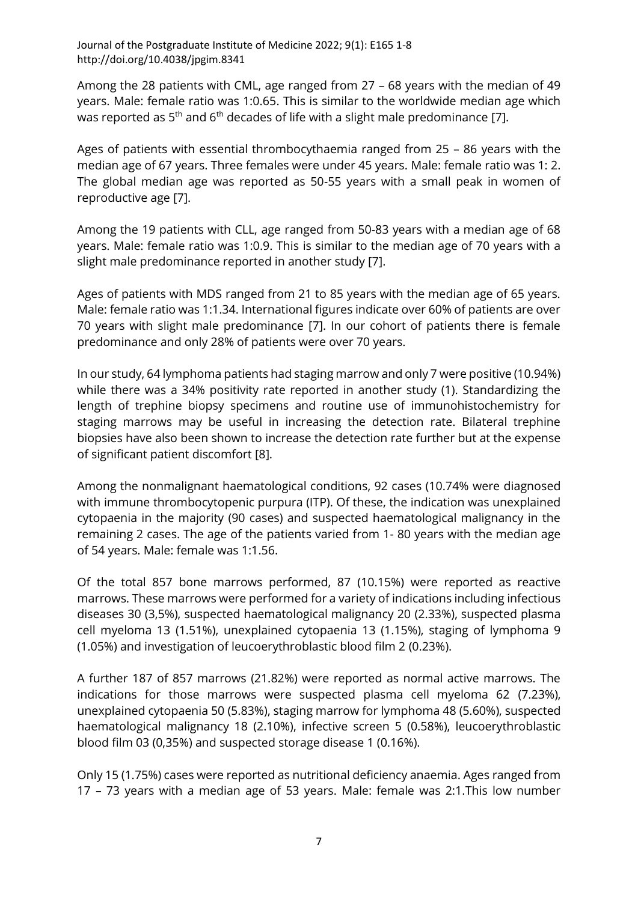Among the 28 patients with CML, age ranged from 27 – 68 years with the median of 49 years. Male: female ratio was 1:0.65. This is similar to the worldwide median age which was reported as  $5<sup>th</sup>$  and  $6<sup>th</sup>$  decades of life with a slight male predominance [\[7\]](#page-7-6).

Ages of patients with essential thrombocythaemia ranged from 25 – 86 years with the median age of 67 years. Three females were under 45 years. Male: female ratio was 1: 2. The global median age was reported as 50-55 years with a small peak in women of reproductive age [\[7\]](#page-7-6).

Among the 19 patients with CLL, age ranged from 50-83 years with a median age of 68 years. Male: female ratio was 1:0.9. This is similar to the median age of 70 years with a slight male predominance reported in another study [\[7\]](#page-7-6).

Ages of patients with MDS ranged from 21 to 85 years with the median age of 65 years. Male: female ratio was 1:1.34. International figures indicate over 60% of patients are over 70 years with slight male predominance [\[7\]](#page-7-6). In our cohort of patients there is female predominance and only 28% of patients were over 70 years.

In our study, 64 lymphoma patients had staging marrow and only 7 were positive (10.94%) while there was a 34% positivity rate reported in another study (1). Standardizing the length of trephine biopsy specimens and routine use of immunohistochemistry for staging marrows may be useful in increasing the detection rate. Bilateral trephine biopsies have also been shown to increase the detection rate further but at the expense of significant patient discomfort [\[8\]](#page-7-7).

Among the nonmalignant haematological conditions, 92 cases (10.74% were diagnosed with immune thrombocytopenic purpura (ITP). Of these, the indication was unexplained cytopaenia in the majority (90 cases) and suspected haematological malignancy in the remaining 2 cases. The age of the patients varied from 1- 80 years with the median age of 54 years. Male: female was 1:1.56.

Of the total 857 bone marrows performed, 87 (10.15%) were reported as reactive marrows. These marrows were performed for a variety of indications including infectious diseases 30 (3,5%), suspected haematological malignancy 20 (2.33%), suspected plasma cell myeloma 13 (1.51%), unexplained cytopaenia 13 (1.15%), staging of lymphoma 9 (1.05%) and investigation of leucoerythroblastic blood film 2 (0.23%).

A further 187 of 857 marrows (21.82%) were reported as normal active marrows. The indications for those marrows were suspected plasma cell myeloma 62 (7.23%), unexplained cytopaenia 50 (5.83%), staging marrow for lymphoma 48 (5.60%), suspected haematological malignancy 18 (2.10%), infective screen 5 (0.58%), leucoerythroblastic blood film 03 (0,35%) and suspected storage disease 1 (0.16%).

Only 15 (1.75%) cases were reported as nutritional deficiency anaemia. Ages ranged from 17 – 73 years with a median age of 53 years. Male: female was 2:1.This low number